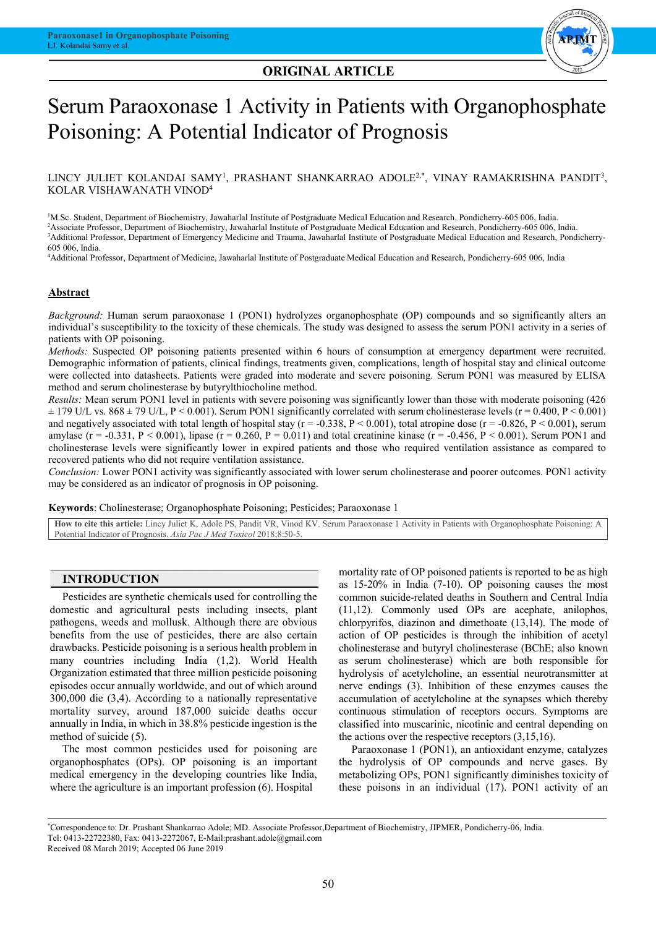## **ORIGINAL ARTICLE**

Ξ



Ξ

#### $\overline{ }$ ٦ Serum Paraoxonase 1 Activity in Patients with Organophosphate Ī Poisoning: A Potential Indicator of Prognosis

Ļ LINCY JULIET KOLANDAI SAMY<sup>1</sup>, PRASHANT SHANKARRAO ADOLE<sup>2,\*</sup>, VINAY RAMAKRISHNA PANDIT<sup>3</sup>,<br>KOLAD WALLANA TUJUMOD<sup>4</sup> KOLAR VISHAWANATH VINOD4

<sup>1</sup>M.Sc. Student, Department of Biochemistry, Jawaharlal Institute of Postgraduate Medical Education and Research, Pondicherry-605 006, India. 2 Associate Professor, Department of Biochemistry, Jawaharlal Institute of Postgraduate Medical Education and Research, Pondicherry-605 006, India. <sup>3</sup>Additional Professor, Department of Emergency Medicine and Trauma, Jawaharlal Institute of Postgraduate Medical Education and Research, Pondicherry-<br>605 006, India. 605 006, India.

4 Additional Professor, Department of Medicine, Jawaharlal Institute of Postgraduate Medical Education and Research, Pondicherry-605 006, India

#### **Abstract**

 *Background:* Human serum paraoxonase 1 (PON1) hydrolyzes organophosphate (OP) compounds and so significantly alters an individual's susceptibility to the toxicity of these chemicals. The study was designed to assess the serum PON1 activity in a series of patients with OP poisoning.

 *Methods:* Suspected OP poisoning patients presented within 6 hours of consumption at emergency department were recruited. Demographic information of patients, clinical findings, treatments given, complications, length of hospital stay and clinical outcome were collected into datasheets. Patients were graded into moderate and severe poisoning. Serum PON1 was measured by ELISA method and serum cholinesterase by butyrylthiocholine method.

 *Results:* Mean serum PON1 level in patients with severe poisoning was significantly lower than those with moderate poisoning (426  $\pm$  179 U/L vs. 868  $\pm$  79 U/L, P < 0.001). Serum PON1 significantly correlated with serum cholinesterase levels (r = 0.400, P < 0.001) and negatively associated with total length of hospital stay ( $r = -0.338$ ,  $P < 0.001$ ), total atropine dose ( $r = -0.826$ ,  $P < 0.001$ ), serum amylase ( $r = -0.331$ ,  $P < 0.001$ ), lipase ( $r = 0.260$ ,  $P = 0.011$ ) and total creatinine kinase ( $r = -0.456$ ,  $P < 0.001$ ). Serum PON1 and cholinesterase levels were significantly lower in expired patients and those who required ventilation assistance as compared to required patients who did not require ventilation assistance recovered patients who did not require ventilation assistance.

 *Conclusion:* Lower PON1 activity was significantly associated with lower serum cholinesterase and poorer outcomes. PON1 activity may be considered as an indicator of prognosis in OP poisoning.

**Keywords**: Cholinesterase; Organophosphate Poisoning; Pesticides; Paraoxonase 1

 **How to cite this article:** Lincy Juliet K, Adole PS, Pandit VR, Vinod KV. Serum Paraoxonase 1 Activity in Patients with Organophosphate Poisoning: A  $\overline{a}$ Potential Indicator of Prognosis. *Asia Pac J Med Toxicol* 2018;8:50-5.

> L  $\overline{a}$

#### **INTRODUCTION**

 Pesticides are synthetic chemicals used for controlling the pathogens, weeds and mollusk. Although there are obvious benefits from the use of pesticides, there are also certain drawbacks. Pesticide poisoning is a serious health problem in many countries including India (1,2). World Health episodes occur annually worldwide, and out of which around 300,000 die (3,4). According to a nationally representative mortality survey, around 187,000 suicide deaths occur annually in India, in which in 38.8% pesticide ingestion is the domestic and agricultural pests including insects, plant Organization estimated that three million pesticide poisoning method of suicide (5).

The most common pesticides used for poisoning are organophosphates (OPs). OP poisoning is an important medical emergency in the developing countries like India, where the agriculture is an important profession (6). Hospital

 mortality rate of OP poisoned patients is reported to be as high as 15-20% in India (7-10). OP poisoning causes the most common suicide-related deaths in Southern and Central India  $(11,12)$ . Commonly used OPs are acephate, anilophos, action of OP pesticides is through the inhibition of acetyl cholinesterase and butyryl cholinesterase (BChE; also known as serum cholinesterase) which are both responsible for nyarorysis or acceptenomic, an essential neurotransmitter at nerve endings (3). Inhibition of these enzymes causes the accumulation of acetylcholine at the synapses which thereby continuous stimulation of receptors occurs. Symptoms are classified into muscarinic, nicotinic and central depending on chlorpyrifos, diazinon and dimethoate (13,14). The mode of hydrolysis of acetylcholine, an essential neurotransmitter at the actions over the respective receptors (3,15,16).

 Paraoxonase 1 (PON1), an antioxidant enzyme, catalyzes the hydrolysis of OP compounds and nerve gases. By metabolizing OPs, PON1 significantly diminishes toxicity of these poisons in an individual (17). PON1 activity of an

٦

 \* Correspondence to: Dr. Prashant Shankarrao Adole; MD. Associate Professor,Department of Biochemistry, JIPMER, Pondicherry-06, India. Tel: 0413-22722380, Fax: 0413-2272067, E-Mail:prashant.adole@gmail.com Received 08 March 2019; Accepted 06 June 2019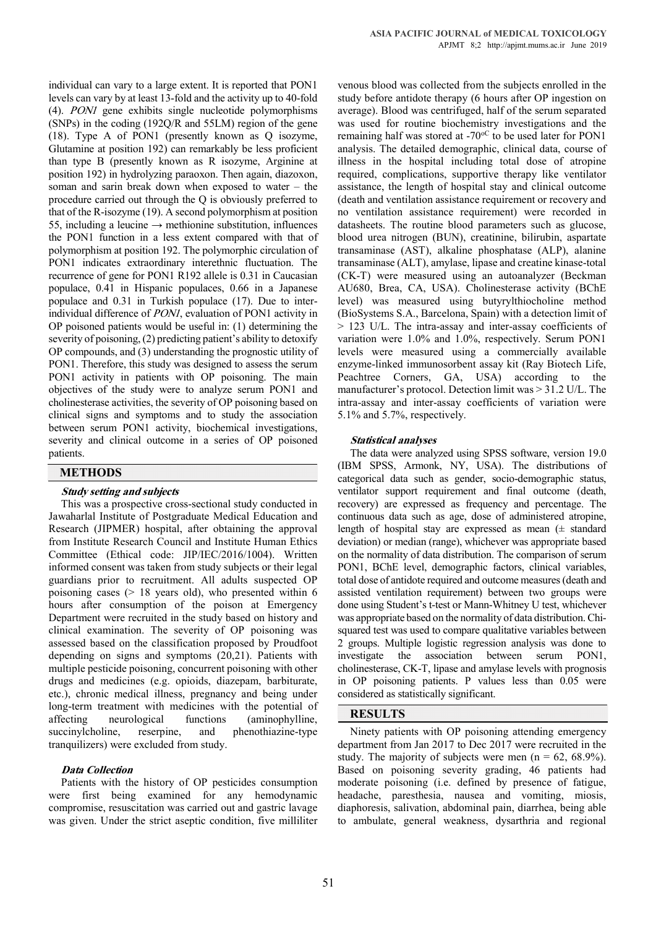individual can vary to a large extent. It is reported that PON1 levels can vary by at least 13-fold and the activity up to 40-fold (4). PON1 gene exhibits single nucleotide polymorphisms (SNPs) in the coding (192Q/R and 55LM) region of the gene (18). Type A of PON1 (presently known as Q isozyme, Glutamine at position 192) can remarkably be less proficient than type B (presently known as R isozyme, Arginine at position 192) in hydrolyzing paraoxon. Then again, diazoxon, soman and sarin break down when exposed to water – the procedure carried out through the Q is obviously preferred to that of the R-isozyme (19). A second polymorphism at position 55, including a leucine  $\rightarrow$  methionine substitution, influences the PON1 function in a less extent compared with that of polymorphism at position 192. The polymorphic circulation of PON1 indicates extraordinary interethnic fluctuation. The recurrence of gene for PON1 R192 allele is 0.31 in Caucasian populace, 0.41 in Hispanic populaces, 0.66 in a Japanese populace and 0.31 in Turkish populace (17). Due to interindividual difference of PON1, evaluation of PON1 activity in OP poisoned patients would be useful in: (1) determining the severity of poisoning, (2) predicting patient's ability to detoxify OP compounds, and (3) understanding the prognostic utility of PON1. Therefore, this study was designed to assess the serum PON1 activity in patients with OP poisoning. The main objectives of the study were to analyze serum PON1 and cholinesterase activities, the severity of OP poisoning based on clinical signs and symptoms and to study the association between serum PON1 activity, biochemical investigations, severity and clinical outcome in a series of OP poisoned patients.

### **METHODS**

#### **Study setting and subjects**

This was a prospective cross-sectional study conducted in Jawaharlal Institute of Postgraduate Medical Education and Research (JIPMER) hospital, after obtaining the approval from Institute Research Council and Institute Human Ethics Committee (Ethical code: JIP/IEC/2016/1004). Written informed consent was taken from study subjects or their legal guardians prior to recruitment. All adults suspected OP poisoning cases (> 18 years old), who presented within 6 hours after consumption of the poison at Emergency Department were recruited in the study based on history and clinical examination. The severity of OP poisoning was assessed based on the classification proposed by Proudfoot depending on signs and symptoms (20,21). Patients with multiple pesticide poisoning, concurrent poisoning with other drugs and medicines (e.g. opioids, diazepam, barbiturate, etc.), chronic medical illness, pregnancy and being under long-term treatment with medicines with the potential of affecting neurological functions (aminophylline, succinylcholine, reserpine, and phenothiazine-type tranquilizers) were excluded from study.

#### **Data Collection**

Patients with the history of OP pesticides consumption were first being examined for any hemodynamic compromise, resuscitation was carried out and gastric lavage was given. Under the strict aseptic condition, five milliliter

 venous blood was collected from the subjects enrolled in the study before antidote therapy (6 hours after OP ingestion on was used for routine biochemistry investigations and the remaining half was stored at -70°C to be used later for PON1 analysis. The detailed demographic, clinical data, course of required, complications, supportive therapy like ventilator assistance, the length of hospital stay and clinical outcome (death and ventilation assistance requirement or recovery and no ventilation assistance requirement) were recorded in blood urea nitrogen (BUN), creatinine, bilirubin, aspartate transaminase (AST), alkaline phosphatase (ALP), alanine transaminase (ALT), amylase, lipase and creatine kinase-total (CK-T) were measured using an autoanalyzer (Beckman level) was measured using butyrylthiocholine method (BioSystems S.A., Barcelona, Spain) with a detection limit of > 123 U/L. The intra-assay and inter-assay coefficients of variation were 1.0% and 1.0%, respectively. Serum PON1 enzyme-linked immunosorbent assay kit (Ray Biotech Life, Peachtree Corners, GA, USA) according to the manufacturer's protocol. Detection limit was > 31.2 U/L. The intra-assay and inter-assay coefficients of variation were average). Blood was centrifuged, half of the serum separated illness in the hospital including total dose of atropine datasheets. The routine blood parameters such as glucose, AU680, Brea, CA, USA). Cholinesterase activity (BChE levels were measured using a commercially available 5.1% and 5.7%, respectively.

#### **Statistical analyses**

 The data were analyzed using SPSS software, version 19.0 categorical data such as gender, socio-demographic status, ventilator support requirement and final outcome (death, recovery) are expressed as frequency and percentage. The continuous data such as age, dose of administered atropine, deviation) or median (range), whichever was appropriate based on the normality of data distribution. The comparison of serum PON1, BChE level, demographic factors, clinical variables, total dose of antidote required and outcome measures (death and done using Student's t-test or Mann-Whitney U test, whichever was appropriate based on the normality of data distribution. Chi- squared test was used to compare qualitative variables between 2 groups. Multiple logistic regression analysis was done to cholinesterase, CK-T, lipase and amylase levels with prognosis in OP poisoning patients. P values less than 0.05 were (IBM SPSS, Armonk, NY, USA). The distributions of length of hospital stay are expressed as mean (± standard assisted ventilation requirement) between two groups were investigate the association between serum PON1, considered as statistically significant.

#### **RESULTS**

 Ninety patients with OP poisoning attending emergency department from Jan 2017 to Dec 2017 were recruited in the study. The majority of subjects were men  $(n = 62, 68.9\%)$ . moderate poisoning (i.e. defined by presence of fatigue, headache, paresthesia, nausea and vomiting, miosis, diaphoresis, salivation, abdominal pain, diarrhea, being able to ambulate, general weakness, dysarthria and regional Based on poisoning severity grading, 46 patients had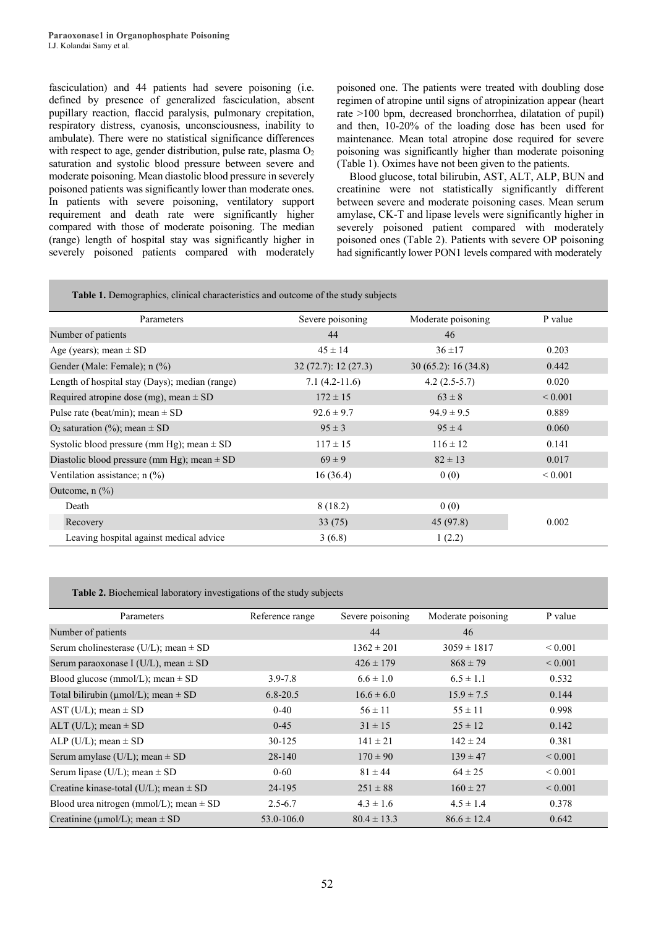fasciculation) and 44 patients had severe poisoning (i.e. defined by presence of generalized fasciculation, absent pupillary reaction, flaccid paralysis, pulmonary crepitation, respiratory distress, cyanosis, unconsciousness, inability to ambulate). There were no statistical significance differences with respect to age, gender distribution, pulse rate, plasma  $O<sub>2</sub>$ saturation and systolic blood pressure between severe and moderate poisoning. Mean diastolic blood pressure in severely poisoned patients was significantly lower than moderate ones. In patients with severe poisoning, ventilatory support requirement and death rate were significantly higher compared with those of moderate poisoning. The median (range) length of hospital stay was significantly higher in severely poisoned patients compared with moderately

 poisoned one. The patients were treated with doubling dose regimen of atropine until signs of atropinization appear (heart rate >100 bpm, decreased bronchorrhea, dilatation of pupil) maintenance. Mean total atropine dose required for severe (Table 1). Oximes have not been given to the patients. and then, 10-20% of the loading dose has been used for poisoning was significantly higher than moderate poisoning

 creatinine were not statistically significantly different between severe and moderate poisoning cases. Mean serum amylase, CK-T and lipase levels were significantly higher in severely poisoned patient compared with moderately had significantly lower PON1 levels compared with moderately Blood glucose, total bilirubin, AST, ALT, ALP, BUN and poisoned ones (Table 2). Patients with severe OP poisoning

í

#### **Table 1.** Demographics, clinical characteristics and outcome of the study subjects

| Parameters                                      | Severe poisoning   | Moderate poisoning | P value      |
|-------------------------------------------------|--------------------|--------------------|--------------|
| Number of patients                              | 44                 | 46                 |              |
| Age (years); mean $\pm$ SD                      | $45 \pm 14$        | $36 + 17$          | 0.203        |
| Gender (Male: Female); n (%)                    | 32(72.7): 12(27.3) | 30(65.2): 16(34.8) | 0.442        |
| Length of hospital stay (Days); median (range)  | $7.1(4.2-11.6)$    | $4.2(2.5-5.7)$     | 0.020        |
| Required atropine dose (mg), mean $\pm$ SD      | $172 \pm 15$       | $63 \pm 8$         | ${}_{0.001}$ |
| Pulse rate (beat/min); mean $\pm$ SD            | $92.6 \pm 9.7$     | $94.9 \pm 9.5$     | 0.889        |
| O <sub>2</sub> saturation (%); mean $\pm$ SD    | $95 \pm 3$         | $95 \pm 4$         | 0.060        |
| Systolic blood pressure (mm Hg); mean $\pm$ SD  | $117 \pm 15$       | $116 \pm 12$       | 0.141        |
| Diastolic blood pressure (mm Hg); mean $\pm$ SD | $69 \pm 9$         | $82 \pm 13$        | 0.017        |
| Ventilation assistance; $n$ (%)                 | 16(36.4)           | 0(0)               | ${}_{0.001}$ |
| Outcome, $n$ $(\%)$                             |                    |                    |              |
| Death                                           | 8(18.2)            | 0(0)               |              |
| Recovery                                        | 33(75)             | 45(97.8)           | 0.002        |
| Leaving hospital against medical advice         | 3(6.8)             | 1(2.2)             |              |

**Table 2.** Biochemical laboratory investigations of the study subjects

| Parameters                                    | Reference range | Severe poisoning | Moderate poisoning | P value           |
|-----------------------------------------------|-----------------|------------------|--------------------|-------------------|
| Number of patients                            |                 | 44               | 46                 |                   |
| Serum cholinesterase (U/L); mean $\pm$ SD     |                 | $1362 \pm 201$   | $3059 \pm 1817$    | ${}_{0.001}$      |
| Serum paraoxonase I (U/L), mean $\pm$ SD      |                 | $426 \pm 179$    | $868 \pm 79$       | ${}_{\leq 0.001}$ |
| Blood glucose (mmol/L); mean $\pm$ SD         | $3.9 - 7.8$     | $6.6 \pm 1.0$    | $6.5 \pm 1.1$      | 0.532             |
| Total bilirubin ( $\mu$ mol/L); mean $\pm$ SD | $6.8 - 20.5$    | $16.6 \pm 6.0$   | $15.9 \pm 7.5$     | 0.144             |
| AST (U/L); mean $\pm$ SD                      | $0 - 40$        | $56 \pm 11$      | $55 \pm 11$        | 0.998             |
| ALT (U/L); mean $\pm$ SD                      | $0 - 45$        | $31 \pm 15$      | $25 \pm 12$        | 0.142             |
| ALP (U/L); mean $\pm$ SD                      | 30-125          | $141 \pm 21$     | $142 \pm 24$       | 0.381             |
| Serum amylase (U/L); mean $\pm$ SD            | 28-140          | $170 \pm 90$     | $139 \pm 47$       | ${}_{0.001}$      |
| Serum lipase (U/L); mean $\pm$ SD             | $0 - 60$        | $81 \pm 44$      | $64 \pm 25$        | ${}_{0.001}$      |
| Creatine kinase-total (U/L); mean $\pm$ SD    | 24-195          | $251 \pm 88$     | $160 \pm 27$       | ${}_{0.001}$      |
| Blood urea nitrogen (mmol/L); mean $\pm$ SD   | $2.5 - 6.7$     | $4.3 \pm 1.6$    | $4.5 \pm 1.4$      | 0.378             |
| Creatinine ( $\mu$ mol/L); mean $\pm$ SD      | 53.0-106.0      | $80.4 \pm 13.3$  | $86.6 \pm 12.4$    | 0.642             |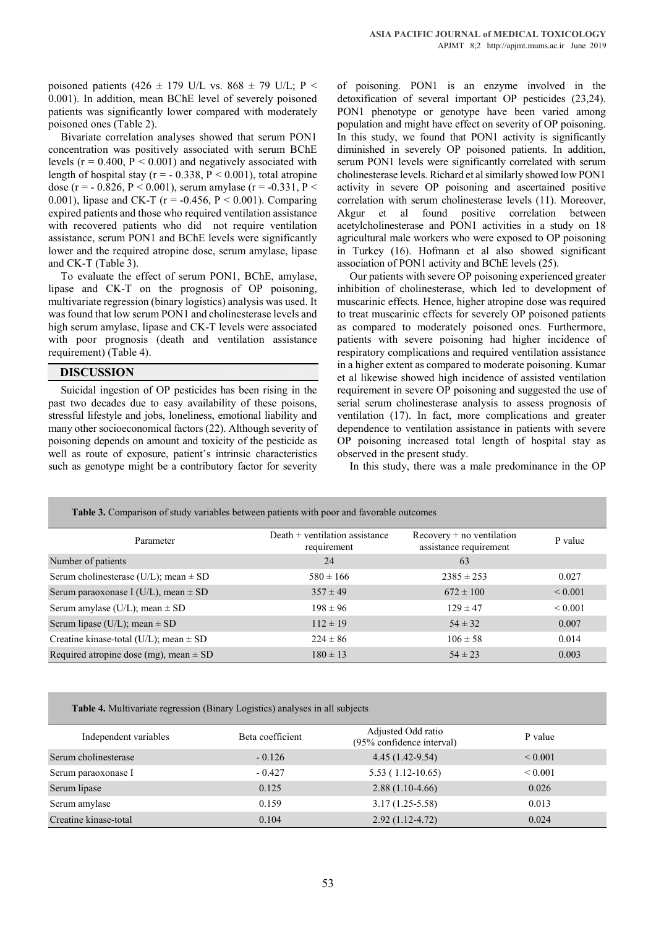poisoned patients (426  $\pm$  179 U/L vs. 868  $\pm$  79 U/L; P < 0.001). In addition, mean BChE level of severely poisoned patients was significantly lower compared with moderately poisoned ones (Table 2).

Bivariate correlation analyses showed that serum PON1 concentration was positively associated with serum BChE levels ( $r = 0.400$ ,  $P < 0.001$ ) and negatively associated with length of hospital stay ( $r = -0.338$ ,  $P \le 0.001$ ), total atropine dose (r = - 0.826, P < 0.001), serum amylase (r = -0.331, P < 0.001), lipase and CK-T ( $r = -0.456$ ,  $P < 0.001$ ). Comparing expired patients and those who required ventilation assistance with recovered patients who did not require ventilation assistance, serum PON1 and BChE levels were significantly lower and the required atropine dose, serum amylase, lipase and CK-T (Table 3).

To evaluate the effect of serum PON1, BChE, amylase, lipase and CK-T on the prognosis of OP poisoning, multivariate regression (binary logistics) analysis was used. It was found that low serum PON1 and cholinesterase levels and high serum amylase, lipase and CK-T levels were associated with poor prognosis (death and ventilation assistance requirement) (Table 4).

#### **DISCUSSION**

Suicidal ingestion of OP pesticides has been rising in the past two decades due to easy availability of these poisons, stressful lifestyle and jobs, loneliness, emotional liability and many other socioeconomical factors (22). Although severity of poisoning depends on amount and toxicity of the pesticide as well as route of exposure, patient's intrinsic characteristics such as genotype might be a contributory factor for severity

of poisoning. PON1 is an enzyme involved in the detoxification of several important OP pesticides (23,24). PON1 phenotype or genotype have been varied among population and might have effect on severity of OP poisoning. In this study, we found that PON1 activity is significantly diminished in severely OP poisoned patients. In addition, serum PON1 levels were significantly correlated with serum cholinesterase levels. Richard et al similarly showed low PON1 activity in severe OP poisoning and ascertained positive correlation with serum cholinesterase levels (11). Moreover, Akgur et al found positive correlation between acetylcholinesterase and PON1 activities in a study on 18 agricultural male workers who were exposed to OP poisoning in Turkey (16). Hofmann et al also showed significant association of PON1 activity and BChE levels (25).

Our patients with severe OP poisoning experienced greater inhibition of cholinesterase, which led to development of muscarinic effects. Hence, higher atropine dose was required to treat muscarinic effects for severely OP poisoned patients as compared to moderately poisoned ones. Furthermore, patients with severe poisoning had higher incidence of respiratory complications and required ventilation assistance in a higher extent as compared to moderate poisoning. Kumar et al likewise showed high incidence of assisted ventilation requirement in severe OP poisoning and suggested the use of serial serum cholinesterase analysis to assess prognosis of ventilation (17). In fact, more complications and greater dependence to ventilation assistance in patients with severe OP poisoning increased total length of hospital stay as observed in the present study.

In this study, there was a male predominance in the OP

| <b>Table 3.</b> Comparison of study variables between patients with poor and favorable outcomes |                                                 |                                                       |                   |  |  |
|-------------------------------------------------------------------------------------------------|-------------------------------------------------|-------------------------------------------------------|-------------------|--|--|
| Parameter                                                                                       | Death $+$ ventilation assistance<br>requirement | $Recovery + no ventilation$<br>assistance requirement | P value           |  |  |
| Number of patients                                                                              | 24                                              | 63                                                    |                   |  |  |
| Serum cholinesterase (U/L); mean $\pm$ SD                                                       | $580 \pm 166$                                   | $2385 \pm 253$                                        | 0.027             |  |  |
| Serum paraoxonase I (U/L), mean $\pm$ SD                                                        | $357 \pm 49$                                    | $672 \pm 100$                                         | ${}_{\leq 0.001}$ |  |  |
| Serum amylase (U/L); mean $\pm$ SD                                                              | $198 \pm 96$                                    | $129 \pm 47$                                          | ${}_{\leq 0.001}$ |  |  |
| Serum lipase (U/L); mean $\pm$ SD                                                               | $112 \pm 19$                                    | $54 \pm 32$                                           | 0.007             |  |  |
| Creatine kinase-total (U/L); mean $\pm$ SD                                                      | $224 \pm 86$                                    | $106 \pm 58$                                          | 0.014             |  |  |
| Required atropine dose (mg), mean $\pm$ SD                                                      | $180 \pm 13$                                    | $54 \pm 23$                                           | 0.003             |  |  |

**Table 4.** Multivariate regression (Binary Logistics) analyses in all subjects

| Independent variables | Beta coefficient | Adjusted Odd ratio<br>(95% confidence interval) | P value      |
|-----------------------|------------------|-------------------------------------------------|--------------|
| Serum cholinesterase  | $-0.126$         | $4.45(1.42-9.54)$                               | ${}_{0.001}$ |
| Serum paraoxonase I   | $-0.427$         | $5.53(1.12-10.65)$                              | ${}_{0.001}$ |
| Serum lipase          | 0.125            | $2.88(1.10-4.66)$                               | 0.026        |
| Serum amylase         | 0.159            | $3.17(1.25-5.58)$                               | 0.013        |
| Creatine kinase-total | 0.104            | $2.92(1.12-4.72)$                               | 0.024        |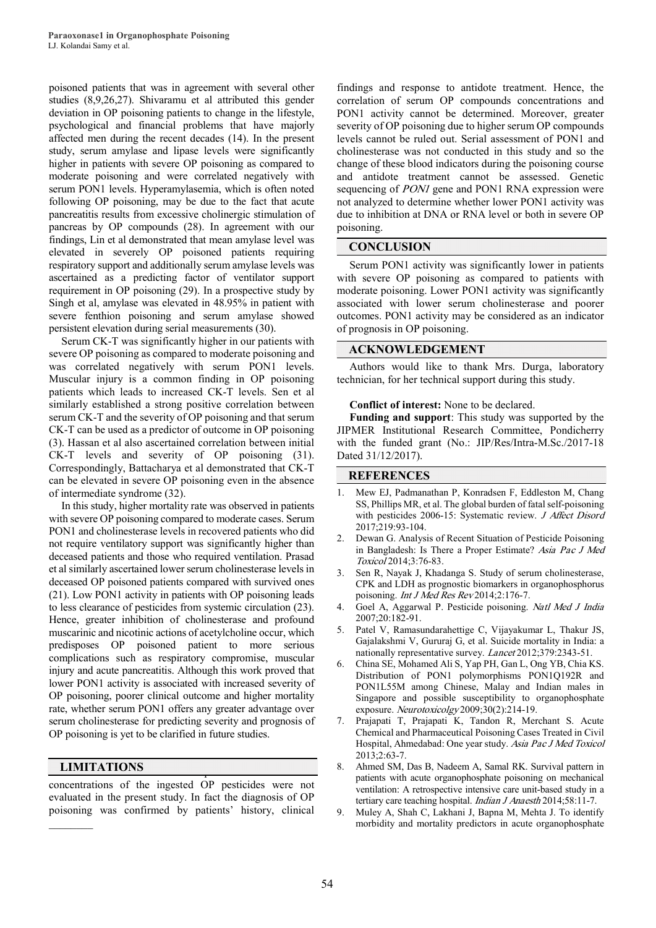poisoned patients that was in agreement with several other studies (8,9,26,27). Shivaramu et al attributed this gender deviation in OP poisoning patients to change in the lifestyle, psychological and financial problems that have majorly affected men during the recent decades (14). In the present study, serum amylase and lipase levels were significantly higher in patients with severe OP poisoning as compared to moderate poisoning and were correlated negatively with serum PON1 levels. Hyperamylasemia, which is often noted following OP poisoning, may be due to the fact that acute pancreatitis results from excessive cholinergic stimulation of pancreas by OP compounds (28). In agreement with our findings, Lin et al demonstrated that mean amylase level was elevated in severely OP poisoned patients requiring respiratory support and additionally serum amylase levels was ascertained as a predicting factor of ventilator support requirement in OP poisoning (29). In a prospective study by Singh et al, amylase was elevated in 48.95% in patient with severe fenthion poisoning and serum amylase showed persistent elevation during serial measurements (30).

Serum CK-T was significantly higher in our patients with severe OP poisoning as compared to moderate poisoning and was correlated negatively with serum PON1 levels. Muscular injury is a common finding in OP poisoning patients which leads to increased CK-T levels. Sen et al similarly established a strong positive correlation between serum CK-T and the severity of OP poisoning and that serum CK-T can be used as a predictor of outcome in OP poisoning (3). Hassan et al also ascertained correlation between initial CK-T levels and severity of OP poisoning (31). Correspondingly, Battacharya et al demonstrated that CK-T can be elevated in severe OP poisoning even in the absence of intermediate syndrome (32).

In this study, higher mortality rate was observed in patients with severe OP poisoning compared to moderate cases. Serum PON1 and cholinesterase levels in recovered patients who did not require ventilatory support was significantly higher than deceased patients and those who required ventilation. Prasad et al similarly ascertained lower serum cholinesterase levels in deceased OP poisoned patients compared with survived ones (21). Low PON1 activity in patients with OP poisoning leads to less clearance of pesticides from systemic circulation (23). Hence, greater inhibition of cholinesterase and profound muscarinic and nicotinic actions of acetylcholine occur, which predisposes OP poisoned patient to more serious complications such as respiratory compromise, muscular injury and acute pancreatitis. Although this work proved that lower PON1 activity is associated with increased severity of OP poisoning, poorer clinical outcome and higher mortality rate, whether serum PON1 offers any greater advantage over serum cholinesterase for predicting severity and prognosis of OP poisoning is yet to be clarified in future studies.

# **LIMITATIONS**

 $\mathcal{L}$ 

concentrations of the ingested OP pesticides were not evaluated in the present study. In fact the diagnosis of OP poisoning was confirmed by patients' history, clinical

findings and response to antidote treatment. Hence, the correlation of serum OP compounds concentrations and PON1 activity cannot be determined. Moreover, greater severity of OP poisoning due to higher serum OP compounds levels cannot be ruled out. Serial assessment of PON1 and cholinesterase was not conducted in this study and so the change of these blood indicators during the poisoning course and antidote treatment cannot be assessed. Genetic sequencing of *PON1* gene and PON1 RNA expression were not analyzed to determine whether lower PON1 activity was due to inhibition at DNA or RNA level or both in severe OP poisoning.

### **CONCLUSION**

Serum PON1 activity was significantly lower in patients with severe OP poisoning as compared to patients with moderate poisoning. Lower PON1 activity was significantly associated with lower serum cholinesterase and poorer outcomes. PON1 activity may be considered as an indicator of prognosis in OP poisoning.

#### **ACKNOWLEDGEMENT**

Authors would like to thank Mrs. Durga, laboratory technician, for her technical support during this study.

#### **Conflict of interest:** None to be declared.

**Funding and support**: This study was supported by the JIPMER Institutional Research Committee, Pondicherry with the funded grant (No.: JIP/Res/Intra-M.Sc./2017-18 Dated 31/12/2017).

### **REFERENCES**

- 1. Mew EJ, Padmanathan P, Konradsen F, Eddleston M, Chang SS, Phillips MR, et al. The global burden of fatal self-poisoning with pesticides 2006-15: Systematic review. J Affect Disord 2017;219:93-104.
- 2. Dewan G. Analysis of Recent Situation of Pesticide Poisoning in Bangladesh: Is There a Proper Estimate? Asia Pac J Med Toxicol 2014;3:76-83.
- 3. Sen R, Nayak J, Khadanga S. Study of serum cholinesterase, CPK and LDH as prognostic biomarkers in organophosphorus poisoning. *Int J Med Res Rev* 2014;2:176-7.
- 4. Goel A, Aggarwal P. Pesticide poisoning. Natl Med J India 2007;20:182-91.
- 5. Patel V, Ramasundarahettige C, Vijayakumar L, Thakur JS, Gajalakshmi V, Gururaj G, et al. Suicide mortality in India: a nationally representative survey. Lancet 2012;379:2343-51.
- 6. China SE, Mohamed Ali S, Yap PH, Gan L, Ong YB, Chia KS. Distribution of PON1 polymorphisms PON1Q192R and PON1L55M among Chinese, Malay and Indian males in Singapore and possible susceptibility to organophosphate exposure. Neurotoxicolgy 2009;30(2):214-19.
- 7. Prajapati T, Prajapati K, Tandon R, Merchant S. Acute Chemical and Pharmaceutical Poisoning Cases Treated in Civil Hospital, Ahmedabad: One year study. Asia Pac J Med Toxicol 2013;2:63-7.
- 8. Ahmed SM, Das B, Nadeem A, Samal RK. Survival pattern in patients with acute organophosphate poisoning on mechanical ventilation: A retrospective intensive care unit-based study in a tertiary care teaching hospital. Indian J Anaesth 2014;58:11-7.
- 9. Muley A, Shah C, Lakhani J, Bapna M, Mehta J. To identify morbidity and mortality predictors in acute organophosphate